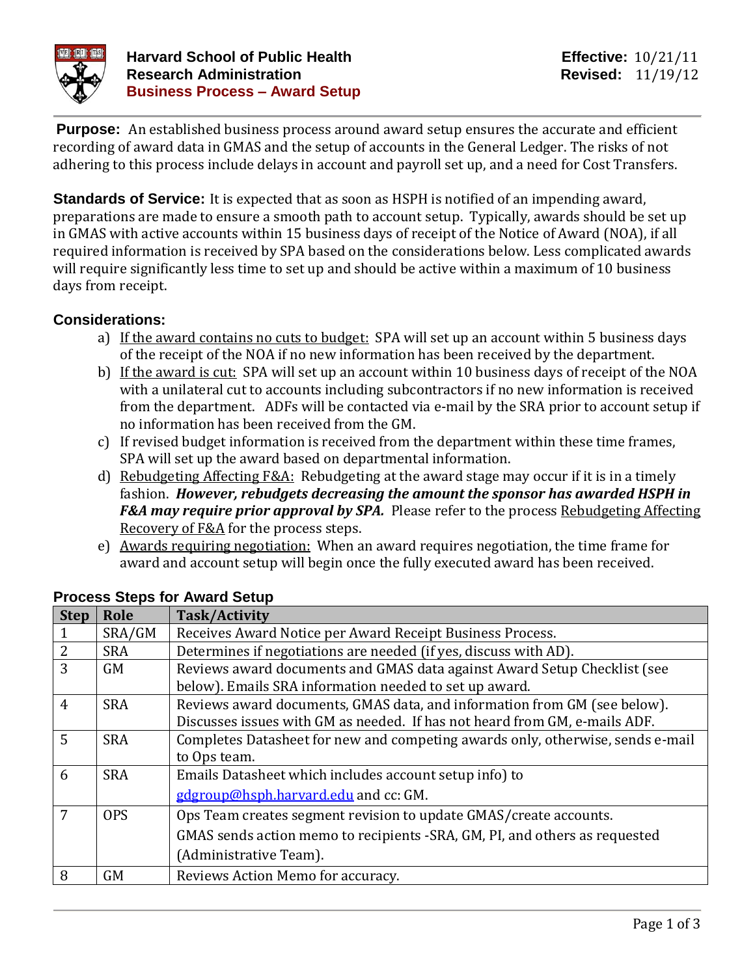

**Purpose:** An established business process around award setup ensures the accurate and efficient recording of award data in GMAS and the setup of accounts in the General Ledger. The risks of not adhering to this process include delays in account and payroll set up, and a need for Cost Transfers.

**Standards of Service:** It is expected that as soon as HSPH is notified of an impending award, preparations are made to ensure a smooth path to account setup. Typically, awards should be set up in GMAS with active accounts within 15 business days of receipt of the Notice of Award (NOA), if all required information is received by SPA based on the considerations below. Less complicated awards will require significantly less time to set up and should be active within a maximum of 10 business days from receipt.

# **Considerations:**

- a) If the award contains no cuts to budget: SPA will set up an account within 5 business days of the receipt of the NOA if no new information has been received by the department.
- b) If the award is cut: SPA will set up an account within 10 business days of receipt of the NOA with a unilateral cut to accounts including subcontractors if no new information is received from the department. ADFs will be contacted via e-mail by the SRA prior to account setup if no information has been received from the GM.
- c) If revised budget information is received from the department within these time frames, SPA will set up the award based on departmental information.
- d) Rebudgeting Affecting  $F&A$ : Rebudgeting at the award stage may occur if it is in a timely fashion. *However, rebudgets decreasing the amount the sponsor has awarded HSPH in F&A may require prior approval by SPA.* Please refer to the process Rebudgeting Affecting Recovery of F&A for the process steps.
- e) Awards requiring negotiation: When an award requires negotiation, the time frame for award and account setup will begin once the fully executed award has been received.

| <b>Step</b>    | Role       | <b>Task/Activity</b>                                                           |
|----------------|------------|--------------------------------------------------------------------------------|
|                | SRA/GM     | Receives Award Notice per Award Receipt Business Process.                      |
| $\overline{2}$ | <b>SRA</b> | Determines if negotiations are needed (if yes, discuss with AD).               |
| 3              | <b>GM</b>  | Reviews award documents and GMAS data against Award Setup Checklist (see       |
|                |            | below). Emails SRA information needed to set up award.                         |
| $\overline{4}$ | <b>SRA</b> | Reviews award documents, GMAS data, and information from GM (see below).       |
|                |            | Discusses issues with GM as needed. If has not heard from GM, e-mails ADF.     |
| 5              | <b>SRA</b> | Completes Datasheet for new and competing awards only, otherwise, sends e-mail |
|                |            | to Ops team.                                                                   |
| 6              | <b>SRA</b> | Emails Datasheet which includes account setup info) to                         |
|                |            | gdgroup@hsph.harvard.edu and cc: GM.                                           |
| 7              | <b>OPS</b> | Ops Team creates segment revision to update GMAS/create accounts.              |
|                |            | GMAS sends action memo to recipients -SRA, GM, PI, and others as requested     |
|                |            | (Administrative Team).                                                         |
| 8              | <b>GM</b>  | Reviews Action Memo for accuracy.                                              |

#### **Process Steps for Award Setup**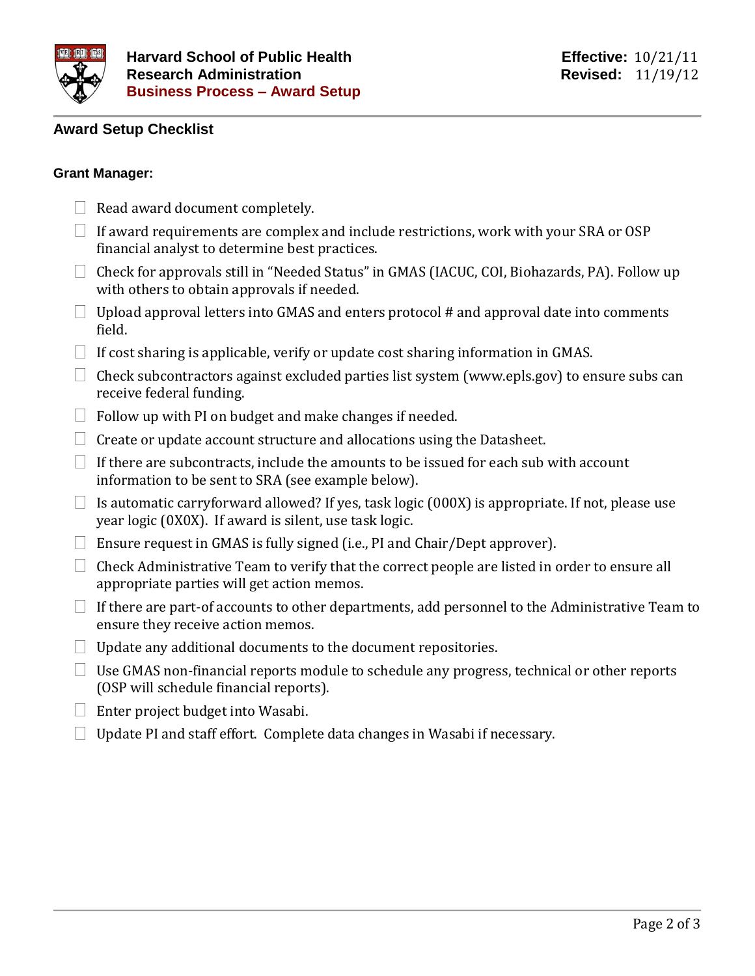

# **Award Setup Checklist**

#### **Grant Manager:**

- $\Box$  Read award document completely.
- $\Box$  If award requirements are complex and include restrictions, work with your SRA or OSP financial analyst to determine best practices.
- $\Box$  Check for approvals still in "Needed Status" in GMAS (IACUC, COI, Biohazards, PA). Follow up with others to obtain approvals if needed.
- $\Box$  Upload approval letters into GMAS and enters protocol # and approval date into comments field.
- $\Box$  If cost sharing is applicable, verify or update cost sharing information in GMAS.
- $\Box$  Check subcontractors against excluded parties list system (www.epls.gov) to ensure subs can receive federal funding.
- $\Box$  Follow up with PI on budget and make changes if needed.
- $\Box$  Create or update account structure and allocations using the Datasheet.
- $\Box$  If there are subcontracts, include the amounts to be issued for each sub with account information to be sent to SRA (see example below).
- $\Box$  Is automatic carryforward allowed? If yes, task logic (000X) is appropriate. If not, please use year logic (0X0X). If award is silent, use task logic.
- $\Box$  Ensure request in GMAS is fully signed (i.e., PI and Chair/Dept approver).
- $\Box$  Check Administrative Team to verify that the correct people are listed in order to ensure all appropriate parties will get action memos.
- $\Box$  If there are part-of accounts to other departments, add personnel to the Administrative Team to ensure they receive action memos.
- $\Box$  Update any additional documents to the document repositories.
- $\Box$  Use GMAS non-financial reports module to schedule any progress, technical or other reports (OSP will schedule financial reports).
- $\Box$  Enter project budget into Wasabi.
- $\Box$  Update PI and staff effort. Complete data changes in Wasabi if necessary.